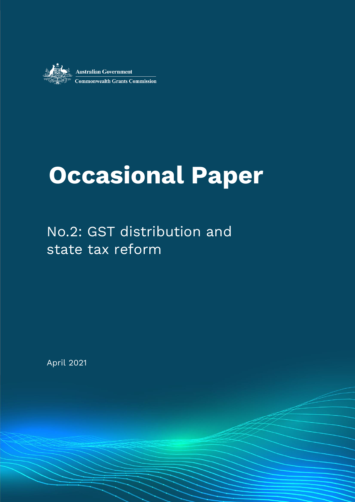

# **Occasional Paper**

ww.charles April 2022 - Case of the Contract of the Occasion of the Occasion of the Occasion of the Occasion of the Occasion of the Occasion of the Occasion of the Occasion of the Occasion of the Occasion of the Occasion o

## No.2: GST distribution and state tax reform

April 2021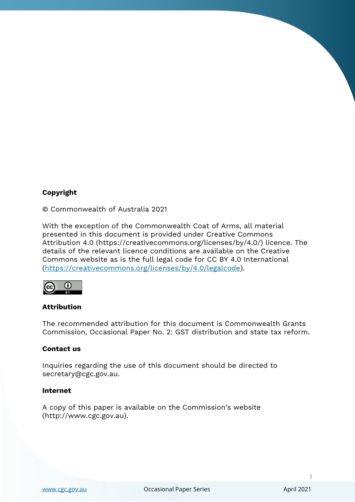#### **Copyright**

© Commonwealth of Australia 2021

With the exception of the Commonwealth Coat of Arms, all material presented in this document is provided under Creative Commons Attribution 4.0 (https://creativecommons.org/licenses/by/4.0/) licence. The details of the relevant licence conditions are available on the Creative Commons website as is the full legal code for CC BY 4.0 International [\(https://creativecommons.org/licenses/by/4.0/legalcode\)](https://creativecommons.org/licenses/by/4.0/legalcode).



#### **Attribution**

The recommended attribution for this document is Commonwealth Grants Commission, Occasional Paper No. 2: GST distribution and state tax reform.

#### **Contact us**

Inquiries regarding the use of this document should be directed to secretary@cgc.gov.au.

#### **Internet**

A copy of this paper is available on the Commission's website (http://www.cgc.gov.au).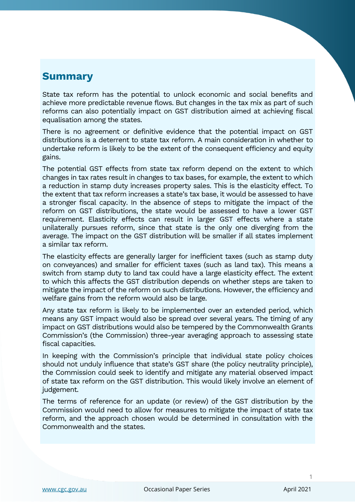### **Summary**

State tax reform has the potential to unlock economic and social benefits and achieve more predictable revenue flows. But changes in the tax mix as part of such reforms can also potentially impact on GST distribution aimed at achieving fiscal equalisation among the states.

There is no agreement or definitive evidence that the potential impact on GST distributions is a deterrent to state tax reform. A main consideration in whether to undertake reform is likely to be the extent of the consequent efficiency and equity gains.

The potential GST effects from state tax reform depend on the extent to which changes in tax rates result in changes to tax bases, for example, the extent to which a reduction in stamp duty increases property sales. This is the elasticity effect. To the extent that tax reform increases a state's tax base, it would be assessed to have a stronger fiscal capacity. In the absence of steps to mitigate the impact of the reform on GST distributions, the state would be assessed to have a lower GST requirement. Elasticity effects can result in larger GST effects where a state unilaterally pursues reform, since that state is the only one diverging from the average. The impact on the GST distribution will be smaller if all states implement a similar tax reform.

The elasticity effects are generally larger for inefficient taxes (such as stamp duty on conveyances) and smaller for efficient taxes (such as land tax). This means a switch from stamp duty to land tax could have a large elasticity effect. The extent to which this affects the GST distribution depends on whether steps are taken to mitigate the impact of the reform on such distributions. However, the efficiency and welfare gains from the reform would also be large.

Any state tax reform is likely to be implemented over an extended period, which means any GST impact would also be spread over several years. The timing of any impact on GST distributions would also be tempered by the Commonwealth Grants Commission's (the Commission) three-year averaging approach to assessing state fiscal capacities.

In keeping with the Commission's principle that individual state policy choices should not unduly influence that state's GST share (the policy neutrality principle), the Commission could seek to identify and mitigate any material observed impact of state tax reform on the GST distribution. This would likely involve an element of judgement.

The terms of reference for an update (or review) of the GST distribution by the Commission would need to allow for measures to mitigate the impact of state tax reform, and the approach chosen would be determined in consultation with the Commonwealth and the states.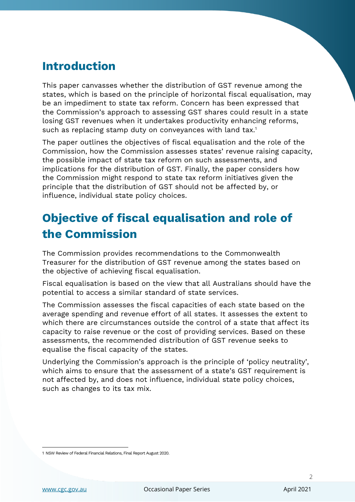### **Introduction**

This paper canvasses whether the distribution of GST revenue among the states, which is based on the principle of horizontal fiscal equalisation, may be an impediment to state tax reform. Concern has been expressed that the Commission's approach to assessing GST shares could result in a state losing GST revenues when it undertakes productivity enhancing reforms, such as replacing stamp duty on conveyances with land tax.<sup>1</sup>

The paper outlines the objectives of fiscal equalisation and the role of the Commission, how the Commission assesses states' revenue raising capacity, the possible impact of state tax reform on such assessments, and implications for the distribution of GST. Finally, the paper considers how the Commission might respond to state tax reform initiatives given the principle that the distribution of GST should not be affected by, or influence, individual state policy choices.

### **Objective of fiscal equalisation and role of the Commission**

The Commission provides recommendations to the Commonwealth Treasurer for the distribution of GST revenue among the states based on the objective of achieving fiscal equalisation.

Fiscal equalisation is based on the view that all Australians should have the potential to access a similar standard of state services.

The Commission assesses the fiscal capacities of each state based on the average spending and revenue effort of all states. It assesses the extent to which there are circumstances outside the control of a state that affect its capacity to raise revenue or the cost of providing services. Based on these assessments, the recommended distribution of GST revenue seeks to equalise the fiscal capacity of the states.

Underlying the Commission's approach is the principle of 'policy neutrality', which aims to ensure that the assessment of a state's GST requirement is not affected by, and does not influence, individual state policy choices, such as changes to its tax mix.

<sup>1</sup> NSW Review of Federal Financial Relations, Final Report August 2020.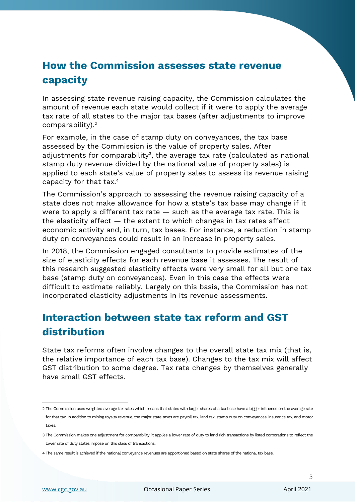### **How the Commission assesses state revenue capacity**

In assessing state revenue raising capacity, the Commission calculates the amount of revenue each state would collect if it were to apply the average tax rate of all states to the major tax bases (after adjustments to improve comparability). 2

For example, in the case of stamp duty on conveyances, the tax base assessed by the Commission is the value of property sales. After adjustments for comparability $^{\rm 3}$ , the average tax rate (calculated as national stamp duty revenue divided by the national value of property sales) is applied to each state's value of property sales to assess its revenue raising capacity for that tax.<sup>4</sup>

The Commission's approach to assessing the revenue raising capacity of a state does not make allowance for how a state's tax base may change if it were to apply a different tax rate  $-$  such as the average tax rate. This is the elasticity effect — the extent to which changes in tax rates affect economic activity and, in turn, tax bases. For instance, a reduction in stamp duty on conveyances could result in an increase in property sales.

In 2018, the Commission engaged consultants to provide estimates of the size of elasticity effects for each revenue base it assesses. The result of this research suggested elasticity effects were very small for all but one tax base (stamp duty on conveyances). Even in this case the effects were difficult to estimate reliably. Largely on this basis, the Commission has not incorporated elasticity adjustments in its revenue assessments.

### **Interaction between state tax reform and GST distribution**

State tax reforms often involve changes to the overall state tax mix (that is, the relative importance of each tax base). Changes to the tax mix will affect GST distribution to some degree. Tax rate changes by themselves generally have small GST effects.

<sup>2</sup> The Commission uses weighted average tax rates which means that states with larger shares of a tax base have a bigger influence on the average rate for that tax. In addition to mining royalty revenue, the major state taxes are payroll tax, land tax, stamp duty on conveyances, insurance tax, and motor taxes.

<sup>3</sup> The Commission makes one adjustment for comparability, it applies a lower rate of duty to land rich transactions by listed corporations to reflect the lower rate of duty states impose on this class of transactions.

<sup>4</sup> The same result is achieved if the national conveyance revenues are apportioned based on state shares of the national tax base.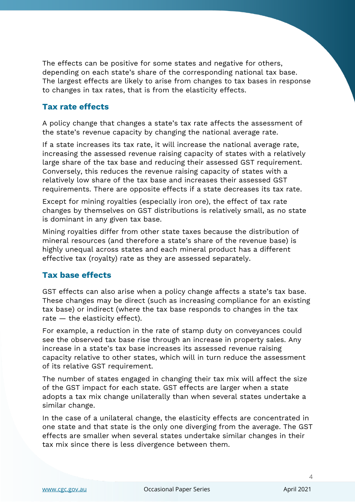The effects can be positive for some states and negative for others, depending on each state's share of the corresponding national tax base. The largest effects are likely to arise from changes to tax bases in response to changes in tax rates, that is from the elasticity effects.

#### **Tax rate effects**

A policy change that changes a state's tax rate affects the assessment of the state's revenue capacity by changing the national average rate.

If a state increases its tax rate, it will increase the national average rate, increasing the assessed revenue raising capacity of states with a relatively large share of the tax base and reducing their assessed GST requirement. Conversely, this reduces the revenue raising capacity of states with a relatively low share of the tax base and increases their assessed GST requirements. There are opposite effects if a state decreases its tax rate.

Except for mining royalties (especially iron ore), the effect of tax rate changes by themselves on GST distributions is relatively small, as no state is dominant in any given tax base.

Mining royalties differ from other state taxes because the distribution of mineral resources (and therefore a state's share of the revenue base) is highly unequal across states and each mineral product has a different effective tax (royalty) rate as they are assessed separately.

#### **Tax base effects**

GST effects can also arise when a policy change affects a state's tax base. These changes may be direct (such as increasing compliance for an existing tax base) or indirect (where the tax base responds to changes in the tax rate — the elasticity effect).

For example, a reduction in the rate of stamp duty on conveyances could see the observed tax base rise through an increase in property sales. Any increase in a state's tax base increases its assessed revenue raising capacity relative to other states, which will in turn reduce the assessment of its relative GST requirement.

The number of states engaged in changing their tax mix will affect the size of the GST impact for each state. GST effects are larger when a state adopts a tax mix change unilaterally than when several states undertake a similar change.

In the case of a unilateral change, the elasticity effects are concentrated in one state and that state is the only one diverging from the average. The GST effects are smaller when several states undertake similar changes in their tax mix since there is less divergence between them.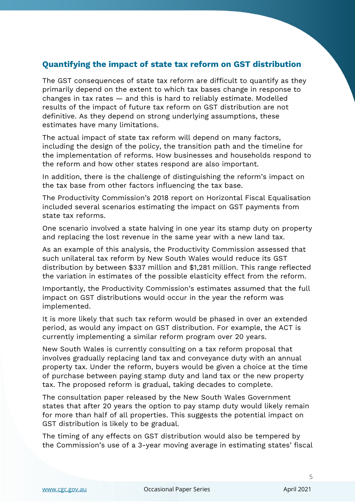#### **Quantifying the impact of state tax reform on GST distribution**

The GST consequences of state tax reform are difficult to quantify as they primarily depend on the extent to which tax bases change in response to changes in tax rates — and this is hard to reliably estimate. Modelled results of the impact of future tax reform on GST distribution are not definitive. As they depend on strong underlying assumptions, these estimates have many limitations.

The actual impact of state tax reform will depend on many factors, including the design of the policy, the transition path and the timeline for the implementation of reforms. How businesses and households respond to the reform and how other states respond are also important.

In addition, there is the challenge of distinguishing the reform's impact on the tax base from other factors influencing the tax base.

The Productivity Commission's 2018 report on Horizontal Fiscal Equalisation included several scenarios estimating the impact on GST payments from state tax reforms.

One scenario involved a state halving in one year its stamp duty on property and replacing the lost revenue in the same year with a new land tax.

As an example of this analysis, the Productivity Commission assessed that such unilateral tax reform by New South Wales would reduce its GST distribution by between \$337 million and \$1,281 million. This range reflected the variation in estimates of the possible elasticity effect from the reform.

Importantly, the Productivity Commission's estimates assumed that the full impact on GST distributions would occur in the year the reform was implemented.

It is more likely that such tax reform would be phased in over an extended period, as would any impact on GST distribution. For example, the ACT is currently implementing a similar reform program over 20 years.

New South Wales is currently consulting on a tax reform proposal that involves gradually replacing land tax and conveyance duty with an annual property tax. Under the reform, buyers would be given a choice at the time of purchase between paying stamp duty and land tax or the new property tax. The proposed reform is gradual, taking decades to complete.

The consultation paper released by the New South Wales Government states that after 20 years the option to pay stamp duty would likely remain for more than half of all properties. This suggests the potential impact on GST distribution is likely to be gradual.

The timing of any effects on GST distribution would also be tempered by the Commission's use of a 3-year moving average in estimating states' fiscal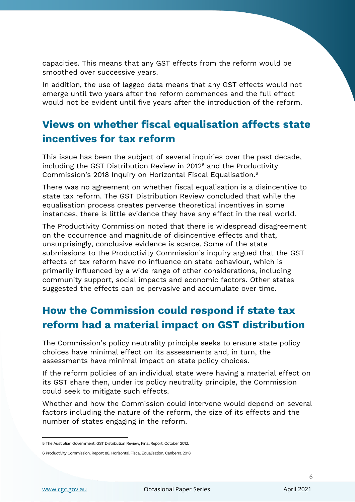capacities. This means that any GST effects from the reform would be smoothed over successive years.

In addition, the use of lagged data means that any GST effects would not emerge until two years after the reform commences and the full effect would not be evident until five years after the introduction of the reform.

### **Views on whether fiscal equalisation affects state incentives for tax reform**

This issue has been the subject of several inquiries over the past decade, including the GST Distribution Review in 2012<sup>5</sup> and the Productivity Commission's 2018 Inquiry on Horizontal Fiscal Equalisation.<sup>6</sup>

There was no agreement on whether fiscal equalisation is a disincentive to state tax reform. The GST Distribution Review concluded that while the equalisation process creates perverse theoretical incentives in some instances, there is little evidence they have any effect in the real world.

The Productivity Commission noted that there is widespread disagreement on the occurrence and magnitude of disincentive effects and that, unsurprisingly, conclusive evidence is scarce. Some of the state submissions to the Productivity Commission's inquiry argued that the GST effects of tax reform have no influence on state behaviour, which is primarily influenced by a wide range of other considerations, including community support, social impacts and economic factors. Other states suggested the effects can be pervasive and accumulate over time.

### **How the Commission could respond if state tax reform had a material impact on GST distribution**

The Commission's policy neutrality principle seeks to ensure state policy choices have minimal effect on its assessments and, in turn, the assessments have minimal impact on state policy choices.

If the reform policies of an individual state were having a material effect on its GST share then, under its policy neutrality principle, the Commission could seek to mitigate such effects.

Whether and how the Commission could intervene would depend on several factors including the nature of the reform, the size of its effects and the number of states engaging in the reform.

<sup>5</sup> The Australian Government, GST Distribution Review, Final Report, October 2012.

<sup>6</sup> Productivity Commission, Report 88, Horizontal Fiscal Equalisation, Canberra 2018.